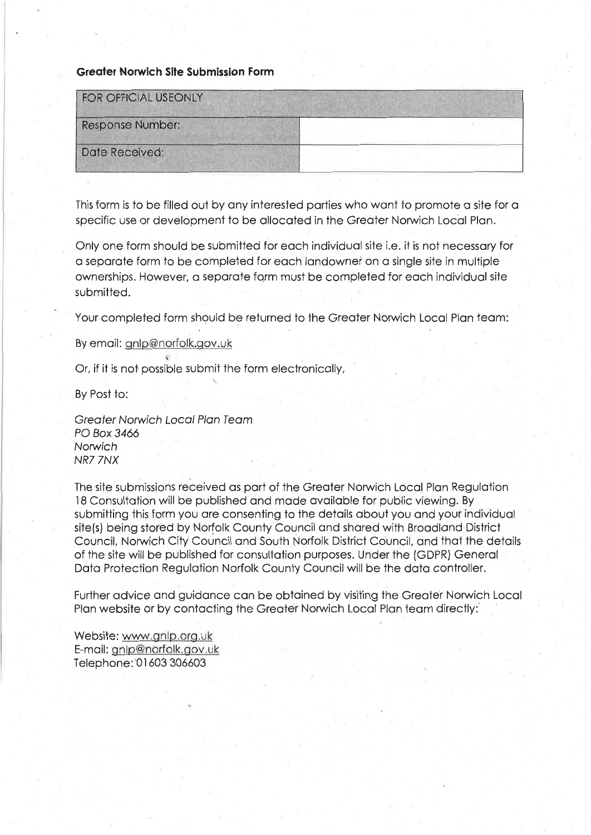### **Greater Norwich Site Submission Form**

| <b>FOR OFFICIAL USEONLY</b> |  |
|-----------------------------|--|
| Response Number:            |  |
| Date Received:              |  |
|                             |  |

This form is to be filled out by any interested parties who want to promote a site for a specific use or development to be allocated in the Greater Norwich Local Plan.

Only one form should be submitted for each individual site i.e. it is not necessary for a separate form to be completed for each landowner on a single site in multiple ownerships. However, a separate form must be completed for each individual site submitted.

Your completed form should be returned to the Greater Norwich Local Plan team:

By email: gnlp@norfolk.gov.uk

Or, if it is not possible submit the form electronically,

By Post to:

**Greater Norwich Local Plan Team** PO Box 3466 Norwich NR7 7NX

The site submissions received as part of the Greater Norwich Local Plan Regulation 18 Consultation will be published and made available for public viewing. By submitting this form you are consenting to the details about you and your individual site(s) being stored by Norfolk County Council and shared with Broadland District Council, Norwich City Council and South Norfolk District Council, and that the details of the site will be published for consultation purposes. Under the (GDPR) General Data Protection Regulation Norfolk County Council will be the data controller.

Further advice and guidance can be obtained by visiting the Greater Norwich Local Plan website or by contacting the Greater Norwich Local Plan team directly:

Website: www.gnlp.org.uk E-mail: gnlp@norfolk.gov.uk Telephone: 01603 306603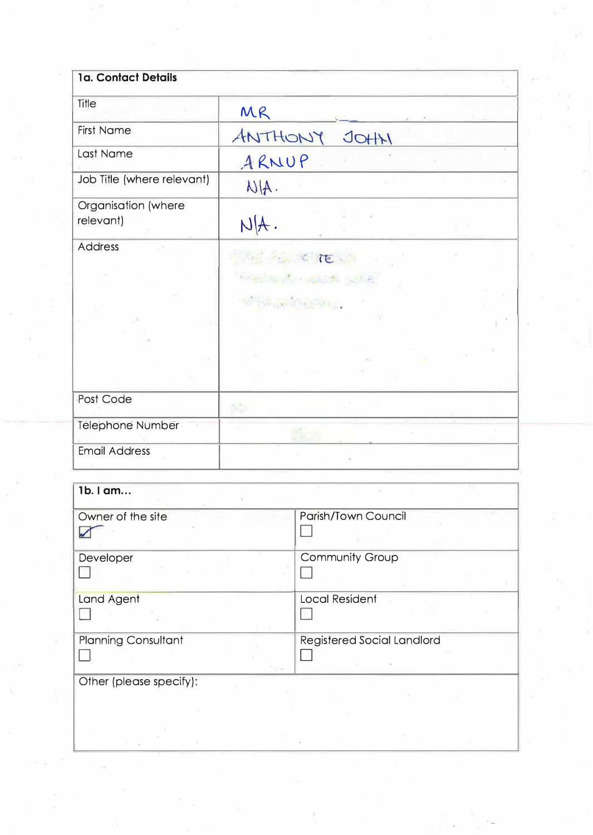| 1a. Contact Details              |                 |
|----------------------------------|-----------------|
| Title                            | MR              |
| <b>First Name</b>                | ANTHONY<br>JOHH |
| Last Name                        | ARNUP           |
| Job Title (where relevant)       | NIA.            |
| Organisation (where<br>relevant) | N[A].           |
| <b>Address</b>                   | TE.             |
| Post Code                        |                 |
| Telephone Number                 |                 |
| <b>Email Address</b>             |                 |

| 1b. I am                   |                                   |
|----------------------------|-----------------------------------|
| Owner of the site          | Parish/Town Council               |
| Developer                  | <b>Community Group</b>            |
| Land Agent                 | <b>Local Resident</b>             |
| <b>Planning Consultant</b> | <b>Registered Social Landlord</b> |
| Other (please specify):    |                                   |
|                            |                                   |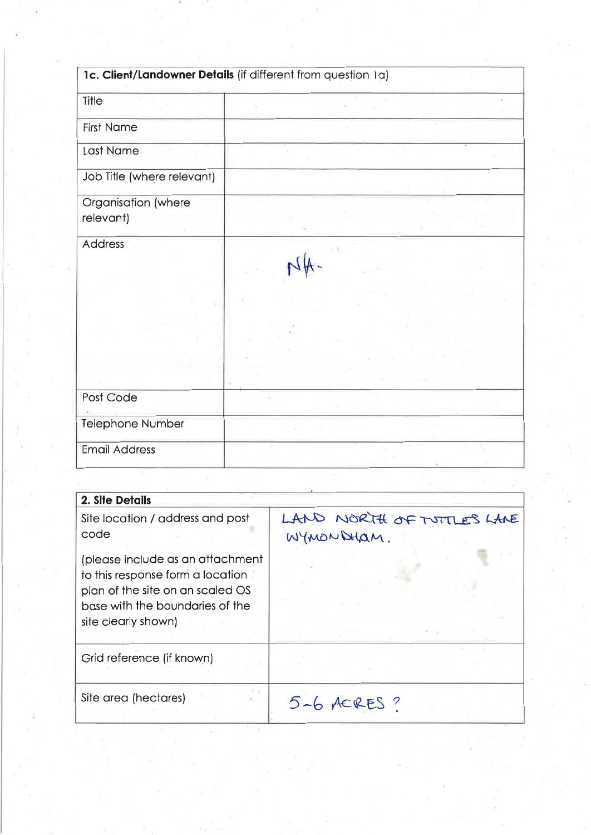|                                  | 1c. Client/Landowner Details (if different from question 1a) |
|----------------------------------|--------------------------------------------------------------|
| Title                            |                                                              |
| <b>First Name</b>                |                                                              |
| Last Name                        |                                                              |
| Job Title (where relevant)       |                                                              |
| Organisation (where<br>relevant) |                                                              |
| Address                          |                                                              |
|                                  |                                                              |
| Post Code                        |                                                              |
| <b>Telephone Number</b>          |                                                              |
| <b>Email Address</b>             |                                                              |

| 2. Site Details                                                                                                                                                     |                                          |
|---------------------------------------------------------------------------------------------------------------------------------------------------------------------|------------------------------------------|
| Site location / address and post<br>code                                                                                                                            | LAND NORTH OF TUTTLES LANE<br>WYMONDHAM. |
| (please include as an attachment<br>to this response form a location.<br>plan of the site on an scaled OS<br>base with the boundaries of the<br>site clearly shown) |                                          |
| Grid reference (if known)                                                                                                                                           |                                          |
| Site area (hectares)                                                                                                                                                | $5 - 6$ ACRES?                           |

Ã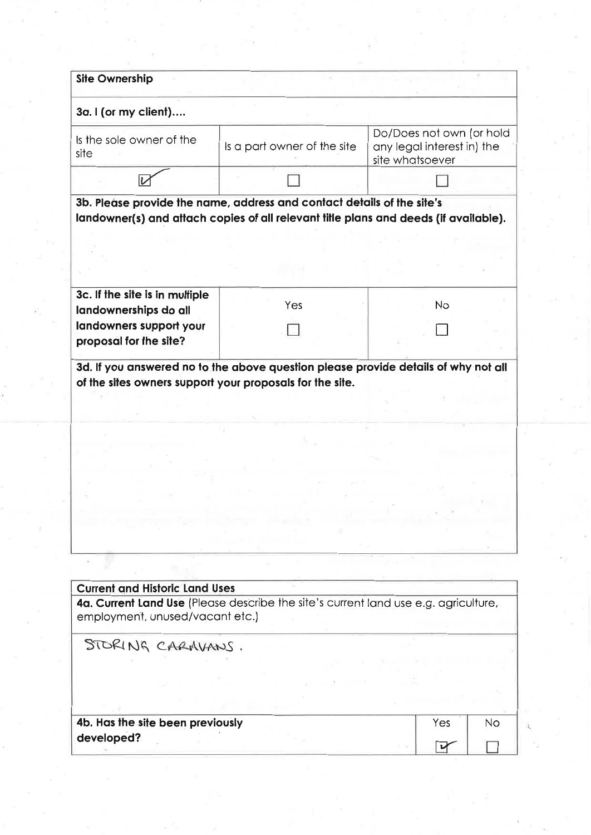| 3a. I (or my client)                                                     |                                                                                      |                                                                           |           |
|--------------------------------------------------------------------------|--------------------------------------------------------------------------------------|---------------------------------------------------------------------------|-----------|
| Is the sole owner of the<br>site                                         | Is a part owner of the site                                                          | Do/Does not own (or hold<br>any legal interest in) the<br>site whatsoever |           |
|                                                                          |                                                                                      |                                                                           |           |
|                                                                          | 3b. Please provide the name, address and contact details of the site's               |                                                                           |           |
|                                                                          | landowner(s) and attach copies of all relevant title plans and deeds (if available). |                                                                           |           |
|                                                                          |                                                                                      |                                                                           |           |
|                                                                          |                                                                                      |                                                                           |           |
| 3c. If the site is in multiple<br>landownerships do all                  | Yes                                                                                  | <b>No</b>                                                                 |           |
| landowners support your<br>proposal for the site?                        |                                                                                      |                                                                           |           |
|                                                                          |                                                                                      |                                                                           |           |
|                                                                          |                                                                                      |                                                                           |           |
|                                                                          |                                                                                      |                                                                           |           |
|                                                                          |                                                                                      |                                                                           |           |
|                                                                          |                                                                                      |                                                                           |           |
|                                                                          |                                                                                      |                                                                           |           |
|                                                                          |                                                                                      |                                                                           |           |
|                                                                          |                                                                                      |                                                                           |           |
|                                                                          | 4a. Current Land Use (Please describe the site's current land use e.g. agriculture,  |                                                                           |           |
| STORING CARAVANS.                                                        |                                                                                      |                                                                           |           |
| <b>Current and Historic Land Uses</b><br>employment, unused/vacant etc.) |                                                                                      |                                                                           |           |
|                                                                          |                                                                                      |                                                                           |           |
| 4b. Has the site been previously                                         |                                                                                      | Yes                                                                       | <b>No</b> |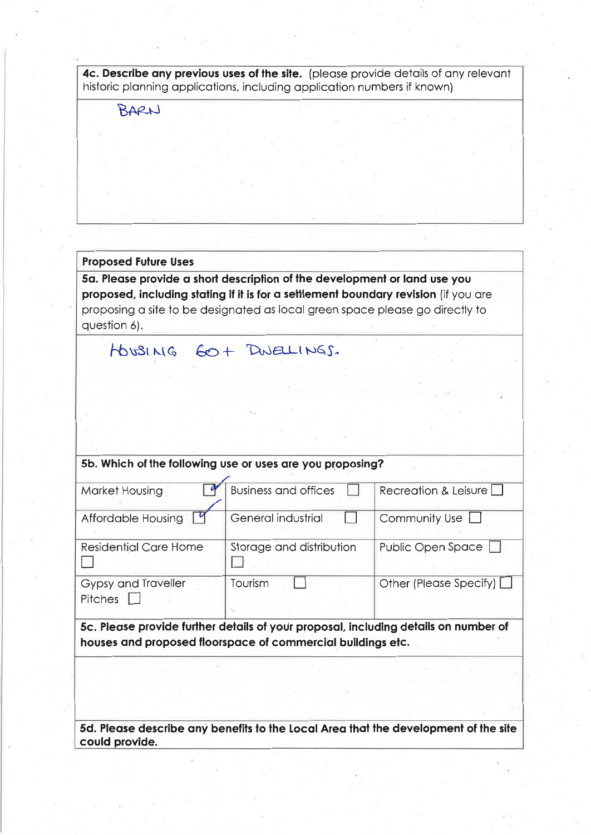| 4c. Describe any previous uses of the site. (please provide details of any relevant |  |
|-------------------------------------------------------------------------------------|--|
| historic planning applications, including application numbers if known)             |  |

BARN

## **Proposed Future Uses**

5a. Please provide a short description of the development or land use you proposed, including stating if it is for a settlement boundary revision (if you are proposing a site to be designated as local green space please go directly to question 6).

|                                | HOUSING GO+ DWELLINGS.                                                                                                                             |                                                                                     |
|--------------------------------|----------------------------------------------------------------------------------------------------------------------------------------------------|-------------------------------------------------------------------------------------|
|                                |                                                                                                                                                    |                                                                                     |
|                                |                                                                                                                                                    |                                                                                     |
|                                | 5b. Which of the following use or uses are you proposing?                                                                                          |                                                                                     |
| Market Housing                 | <b>Business and offices</b>                                                                                                                        | Recreation & Leisure                                                                |
| Affordable Housing             | General industrial                                                                                                                                 | Community Use                                                                       |
| <b>Residential Care Home</b>   | Storage and distribution                                                                                                                           | Public Open Space L                                                                 |
| Gypsy and Traveller<br>Pitches | Tourism                                                                                                                                            | Other (Please Specify) L                                                            |
|                                | 5c. Please provide further details of your proposal, including details on number of<br>houses and proposed floorspace of commercial buildings etc. |                                                                                     |
|                                |                                                                                                                                                    |                                                                                     |
|                                |                                                                                                                                                    |                                                                                     |
| could provide                  |                                                                                                                                                    | 5d. Please describe any benefits to the Local Area that the development of the site |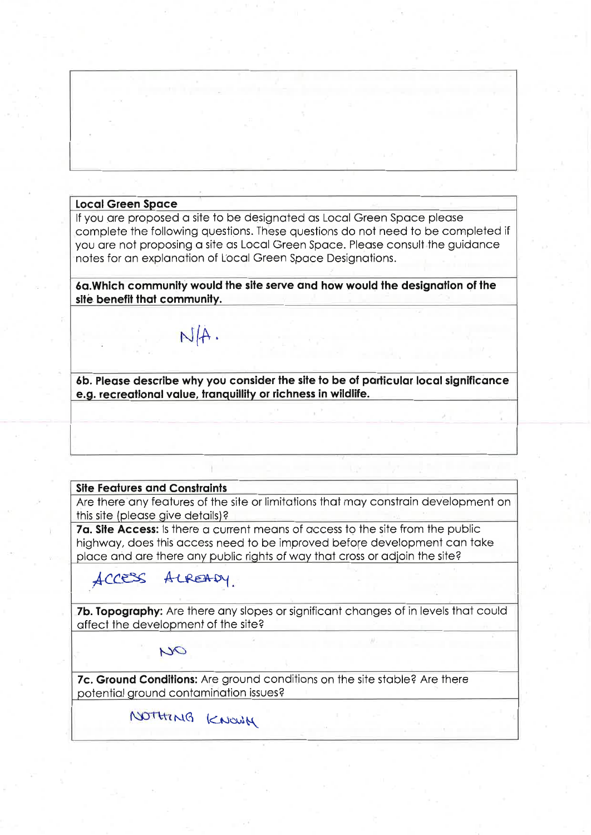#### **Local Green Space**

If you are proposed a site to be designated as Local Green Space please complete the following questions. These questions do not need to be completed if you are not proposing a site as Local Green Space. Please consult the guidance notes for an explanation of Local Green Space Designations.

6a. Which community would the site serve and how would the designation of the site benefit that community.

 $N/A$ .

6b. Please describe why you consider the site to be of particular local significance e.g. recreational value, tranquillity or richness in wildlife.

### **Site Features and Constraints**

Are there any features of the site or limitations that may constrain development on this site (please give details)?

7a. Site Access: Is there a current means of access to the site from the public highway, does this access need to be improved before development can take place and are there any public rights of way that cross or adjoin the site?

# ACCESS ALREADY

7b. Topography: Are there any slopes or significant changes of in levels that could affect the development of the site?

OU

7c. Ground Conditions: Are ground conditions on the site stable? Are there potential ground contamination issues?

NOTHING KNOWN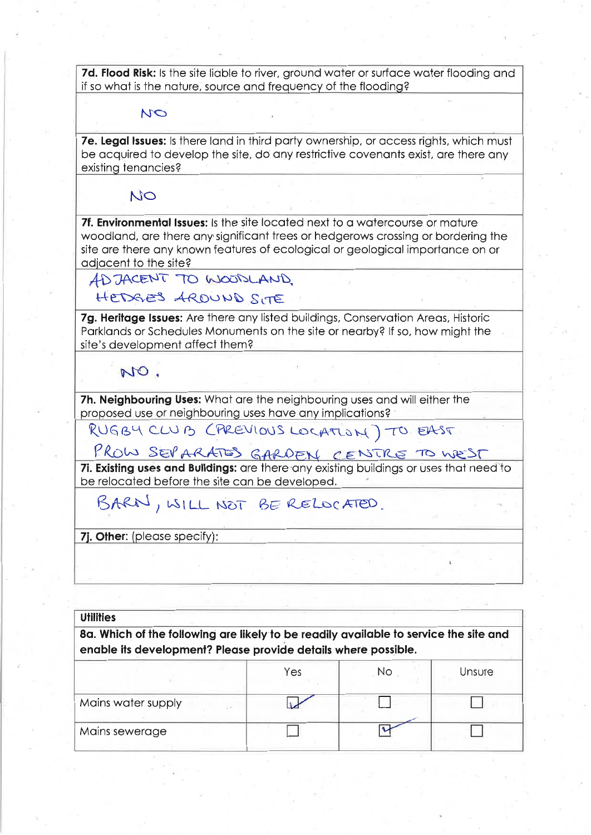7d. Flood Risk: Is the site liable to river, ground water or surface water flooding and if so what is the nature, source and frequency of the flooding?

### NO

7e. Legal Issues: Is there land in third party ownership, or access rights, which must be acquired to develop the site, do any restrictive covenants exist, are there any existing tenancies?

NO

7f. Environmental Issues: Is the site located next to a watercourse or mature woodland, are there any significant trees or hedgerows crossing or bordering the site are there any known features of ecological or geological importance on or adjacent to the site?

ADJACENT TO WOODLAND

## HEDGES ARDUND SITE

7g. Heritage Issues: Are there any listed buildings, Conservation Areas, Historic Parklands or Schedules Monuments on the site or nearby? If so, how might the site's development affect them?

NO.

7h. Neighbouring Uses: What are the neighbouring uses and will either the proposed use or neighbouring uses have any implications?

RUGBY CLUB (PREVIOUS LOCATION) TO EAST

PROW SEPARATES GARDEN CENTRE TO WEST

7i. Existing uses and Buildings: are there any existing buildings or uses that need to be relocated before the site can be developed.

BARN, WILL NOT BE RELOCATED.

7j. Other: (please specify):

| <b>Utilities</b><br>8a. Which of the following are likely to be readily available to service the site and<br>enable its development? Please provide details where possible. |  |  |  |
|-----------------------------------------------------------------------------------------------------------------------------------------------------------------------------|--|--|--|
|                                                                                                                                                                             |  |  |  |
| Mains water supply<br>VW.                                                                                                                                                   |  |  |  |
| Mains sewerage                                                                                                                                                              |  |  |  |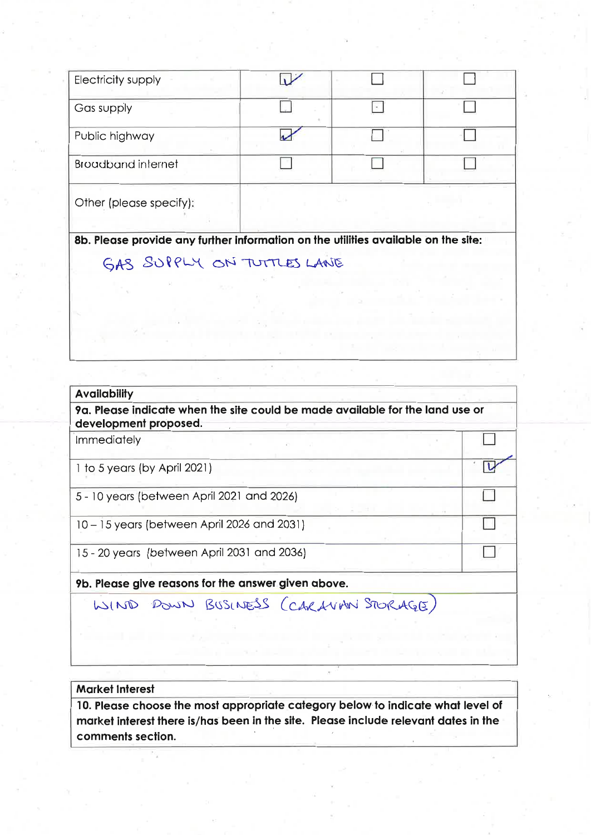| Electricity supply                                                                 |  |  |
|------------------------------------------------------------------------------------|--|--|
| Gas supply                                                                         |  |  |
| Public highway                                                                     |  |  |
| <b>Broadband internet</b>                                                          |  |  |
| Other (please specify):                                                            |  |  |
| 8b. Please provide any further information on the utilities available on the site: |  |  |
| GAS SUPPLY ON TUTTLES LANE                                                         |  |  |

| <b>Availability</b>                                                                                    |  |
|--------------------------------------------------------------------------------------------------------|--|
| 9a. Please indicate when the site could be made available for the land use or<br>development proposed. |  |
| <b>Immediately</b>                                                                                     |  |
| 1 to 5 years (by April 2021)                                                                           |  |
| 5 - 10 years (between April 2021 and 2026)                                                             |  |
| 10 - 15 years (between April 2026 and 2031)                                                            |  |
| 15 - 20 years (between April 2031 and 2036)                                                            |  |

9b. Please give reasons for the answer given above.

WIND DOWN BUSINESS (CARLVAN STORAGE)

### **Market Interest**

10. Please choose the most appropriate category below to indicate what level of market interest there is/has been in the site. Please include relevant dates in the comments section.

 $\bar{\sigma}$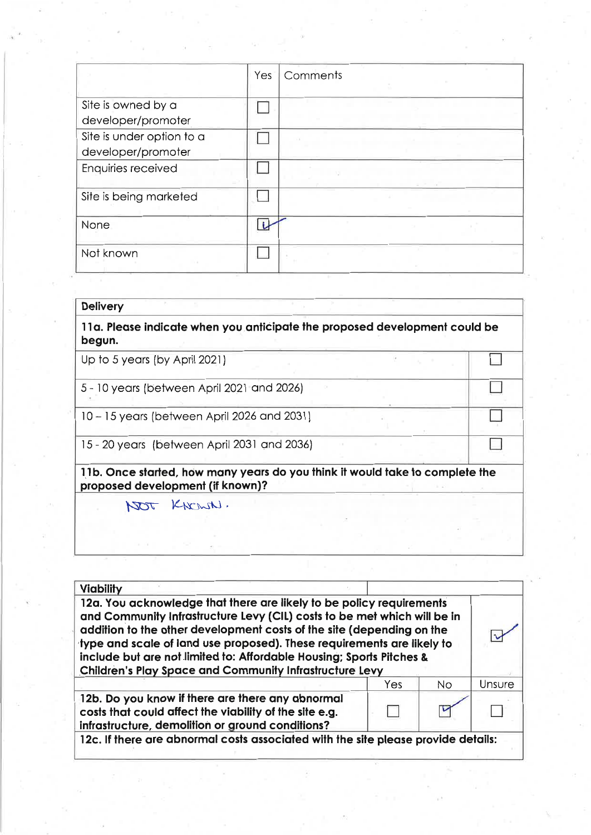|                                                 | Yes | Comments |
|-------------------------------------------------|-----|----------|
| Site is owned by a<br>developer/promoter        |     |          |
| Site is under option to a<br>developer/promoter |     |          |
| Enquiries received                              |     |          |
| Site is being marketed                          |     |          |
| <b>None</b>                                     |     |          |
| Not known                                       |     |          |

| <b>Delivery</b>                                                                                                  |  |  |
|------------------------------------------------------------------------------------------------------------------|--|--|
| 11a. Please indicate when you anticipate the proposed development could be<br>begun.                             |  |  |
| Up to 5 years (by April 2021)                                                                                    |  |  |
| 5 - 10 years (between April 2021 and 2026)                                                                       |  |  |
| 10 – 15 years (between April 2026 and 2031)                                                                      |  |  |
| 15 - 20 years (between April 2031 and 2036)                                                                      |  |  |
| 11b. Once started, how many years do you think it would take to complete the<br>proposed development (if known)? |  |  |
| KNOWN.<br>TOT                                                                                                    |  |  |
|                                                                                                                  |  |  |
|                                                                                                                  |  |  |

| <b>Viability</b><br>12a. You acknowledge that there are likely to be policy requirements<br>and Community Infrastructure Levy (CIL) costs to be met which will be in<br>addition to the other development costs of the site (depending on the<br>type and scale of land use proposed). These requirements are likely to<br>include but are not limited to: Affordable Housing; Sports Pitches &<br><b>Children's Play Space and Community Infrastructure Levy</b> |     |           |        |
|-------------------------------------------------------------------------------------------------------------------------------------------------------------------------------------------------------------------------------------------------------------------------------------------------------------------------------------------------------------------------------------------------------------------------------------------------------------------|-----|-----------|--------|
|                                                                                                                                                                                                                                                                                                                                                                                                                                                                   | Yes | <b>No</b> | Unsure |
| 12b. Do you know if there are there any abnormal<br>costs that could affect the viability of the site e.g.<br>infrastructure, demolition or ground conditions?                                                                                                                                                                                                                                                                                                    |     |           |        |
| 12c. If there are abnormal costs associated with the site please provide details:                                                                                                                                                                                                                                                                                                                                                                                 |     |           |        |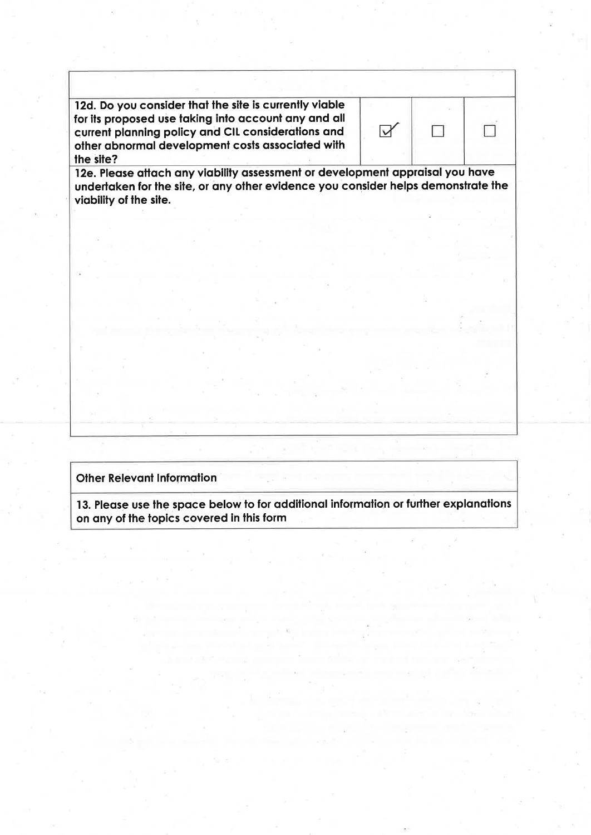12d. Do you consider that the site is currently viable for its proposed use taking into account any and all current planning policy and CIL considerations and other abnormal development costs associated with the site?

| ī                       |  |
|-------------------------|--|
| $\sim$<br>⊐<br>a.<br>M. |  |

П

12e. Please attach any viability assessment or development appraisal you have undertaken for the site, or any other evidence you consider helps demonstrate the viability of the site.

### **Other Relevant Information**

13. Please use the space below to for additional information or further explanations on any of the topics covered in this form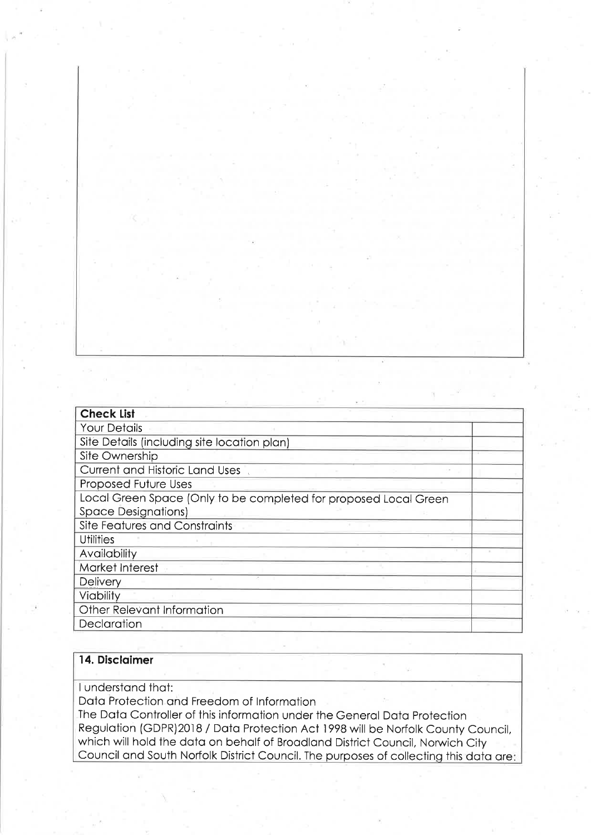| <b>Check List</b>                                                |  |
|------------------------------------------------------------------|--|
| <b>Your Details</b>                                              |  |
| Site Details (including site location plan)                      |  |
| Site Ownership                                                   |  |
| Current and Historic Land Uses                                   |  |
| Proposed Future Uses                                             |  |
| Local Green Space (Only to be completed for proposed Local Green |  |
| <b>Space Designations)</b>                                       |  |
| <b>Site Features and Constraints</b>                             |  |
| <b>Utilities</b>                                                 |  |
| Availability                                                     |  |
| Market Interest                                                  |  |
| <b>Delivery</b>                                                  |  |
| Viability                                                        |  |
| Other Relevant Information                                       |  |
| Declaration                                                      |  |

### 14. Disclaimer

I understand that:

Data Protection and Freedom of Information

The Data Controller of this information under the General Data Protection Regulation (GDPR)2018 / Data Protection Act 1998 will be Norfolk County Council, which will hold the data on behalf of Broadland District Council, Norwich City Council and South Norfolk District Council. The purposes of collecting this data are: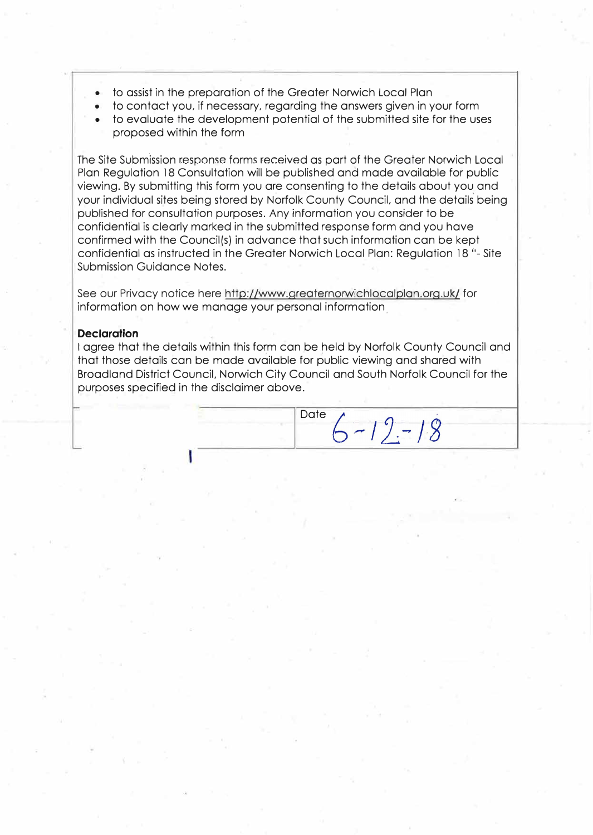- to assist in the preparation of the Greater Norwich Local Plan
- to contact you, if necessary, regarding the answers given in your form
- to evaluate the development potential of the submitted site for the uses proposed within the form

The Site Submission response forms received as part of the Greater Norwich Local Plan Regulation 18 Consultation will be published and made available for public viewing. By submitting this form you are consenting to the details about you and your individual sites being stored by Norfolk County Council, and the details being published for consultation purposes. Any information you consider to be confidential is clearly marked in the submitted response form and you have confirmed with the Council(s) in advance that such information can be kept confidential as instructed in the Greater Norwich Local Plan: Regulation 18 "- Site Submission Guidance Notes.

See our Privacy notice here http://www.greaternorwichlocalplan.org.uk/ for information on how we manage your personal information,

### **Declaration**

I agree that the details within this form can be held by Norfolk County Council and that those details can be made available for public viewing and shared with Broadland District Council, Norwich City Council and South Norfolk Council for the purposes specified in the disclaimer above.

Date  $6 - 12 - 18$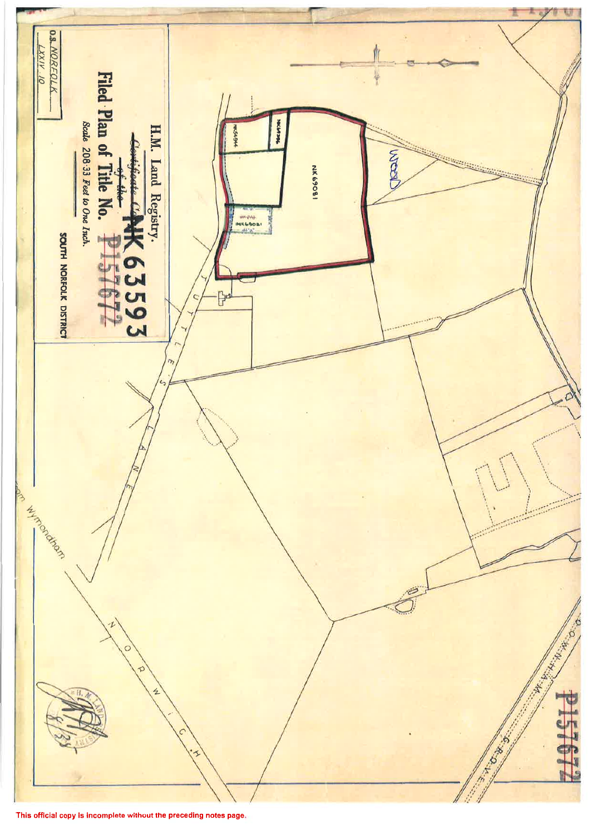